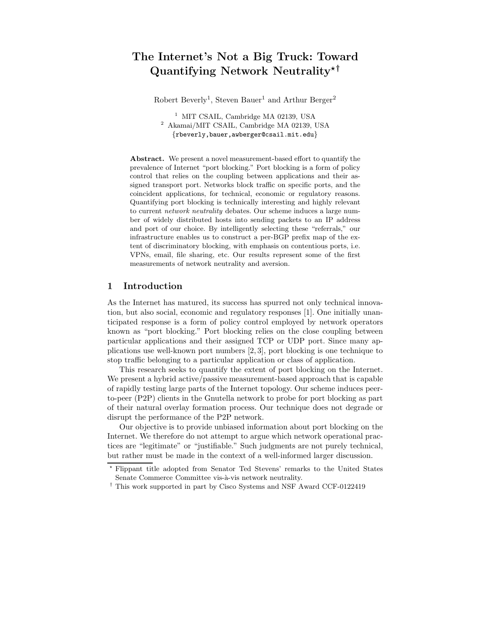# The Internet's Not a Big Truck: Toward Quantifying Network Neutrality<sup> $\star$ †</sup>

Robert Beverly<sup>1</sup>, Steven Bauer<sup>1</sup> and Arthur Berger<sup>2</sup>

<sup>1</sup> MIT CSAIL, Cambridge MA 02139, USA <sup>2</sup> Akamai/MIT CSAIL, Cambridge MA 02139, USA {rbeverly,bauer,awberger@csail.mit.edu}

Abstract. We present a novel measurement-based effort to quantify the prevalence of Internet "port blocking." Port blocking is a form of policy control that relies on the coupling between applications and their assigned transport port. Networks block traffic on specific ports, and the coincident applications, for technical, economic or regulatory reasons. Quantifying port blocking is technically interesting and highly relevant to current network neutrality debates. Our scheme induces a large number of widely distributed hosts into sending packets to an IP address and port of our choice. By intelligently selecting these "referrals," our infrastructure enables us to construct a per-BGP prefix map of the extent of discriminatory blocking, with emphasis on contentious ports, i.e. VPNs, email, file sharing, etc. Our results represent some of the first measurements of network neutrality and aversion.

## 1 Introduction

As the Internet has matured, its success has spurred not only technical innovation, but also social, economic and regulatory responses [1]. One initially unanticipated response is a form of policy control employed by network operators known as "port blocking." Port blocking relies on the close coupling between particular applications and their assigned TCP or UDP port. Since many applications use well-known port numbers [2, 3], port blocking is one technique to stop traffic belonging to a particular application or class of application.

This research seeks to quantify the extent of port blocking on the Internet. We present a hybrid active/passive measurement-based approach that is capable of rapidly testing large parts of the Internet topology. Our scheme induces peerto-peer (P2P) clients in the Gnutella network to probe for port blocking as part of their natural overlay formation process. Our technique does not degrade or disrupt the performance of the P2P network.

Our objective is to provide unbiased information about port blocking on the Internet. We therefore do not attempt to argue which network operational practices are "legitimate" or "justifiable." Such judgments are not purely technical, but rather must be made in the context of a well-informed larger discussion.

<sup>⋆</sup> Flippant title adopted from Senator Ted Stevens' remarks to the United States Senate Commerce Committee vis-à-vis network neutrality.

<sup>†</sup> This work supported in part by Cisco Systems and NSF Award CCF-0122419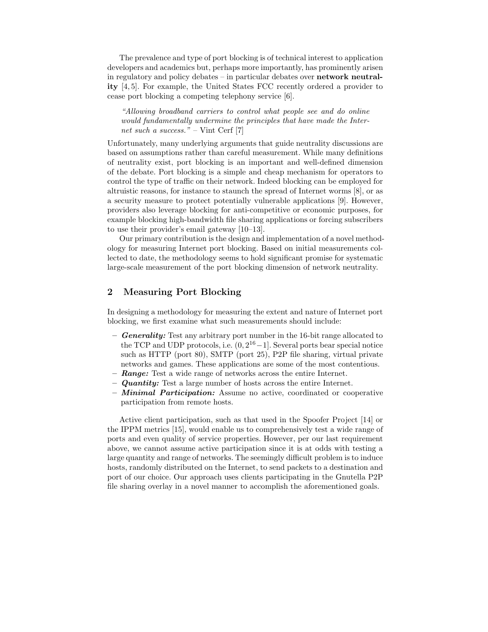The prevalence and type of port blocking is of technical interest to application developers and academics but, perhaps more importantly, has prominently arisen in regulatory and policy debates – in particular debates over network neutrality [4, 5]. For example, the United States FCC recently ordered a provider to cease port blocking a competing telephony service [6].

"Allowing broadband carriers to control what people see and do online would fundamentally undermine the principles that have made the Internet such a success." – Vint Cerf [7]

Unfortunately, many underlying arguments that guide neutrality discussions are based on assumptions rather than careful measurement. While many definitions of neutrality exist, port blocking is an important and well-defined dimension of the debate. Port blocking is a simple and cheap mechanism for operators to control the type of traffic on their network. Indeed blocking can be employed for altruistic reasons, for instance to staunch the spread of Internet worms [8], or as a security measure to protect potentially vulnerable applications [9]. However, providers also leverage blocking for anti-competitive or economic purposes, for example blocking high-bandwidth file sharing applications or forcing subscribers to use their provider's email gateway [10–13].

Our primary contribution is the design and implementation of a novel methodology for measuring Internet port blocking. Based on initial measurements collected to date, the methodology seems to hold significant promise for systematic large-scale measurement of the port blocking dimension of network neutrality.

# 2 Measuring Port Blocking

In designing a methodology for measuring the extent and nature of Internet port blocking, we first examine what such measurements should include:

- $-$  **Generality:** Test any arbitrary port number in the 16-bit range allocated to the TCP and UDP protocols, i.e.  $(0, 2^{16}-1]$ . Several ports bear special notice such as HTTP (port 80), SMTP (port 25), P2P file sharing, virtual private networks and games. These applications are some of the most contentious.
- $-$  **Range:** Test a wide range of networks across the entire Internet.
- $-$  **Quantity:** Test a large number of hosts across the entire Internet.
- **Minimal Participation:** Assume no active, coordinated or cooperative participation from remote hosts.

Active client participation, such as that used in the Spoofer Project [14] or the IPPM metrics [15], would enable us to comprehensively test a wide range of ports and even quality of service properties. However, per our last requirement above, we cannot assume active participation since it is at odds with testing a large quantity and range of networks. The seemingly difficult problem is to induce hosts, randomly distributed on the Internet, to send packets to a destination and port of our choice. Our approach uses clients participating in the Gnutella P2P file sharing overlay in a novel manner to accomplish the aforementioned goals.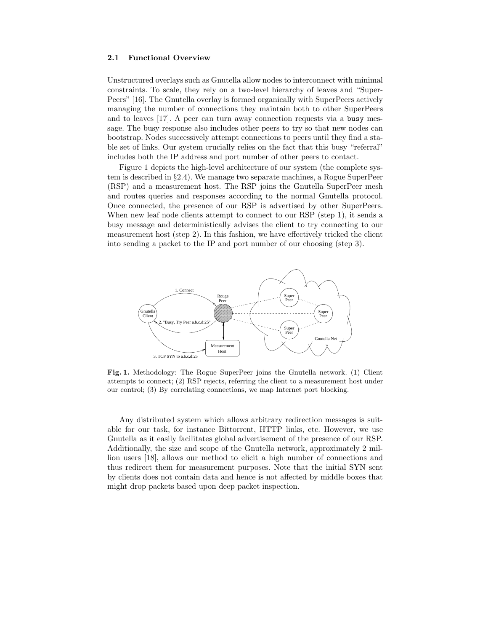#### 2.1 Functional Overview

Unstructured overlays such as Gnutella allow nodes to interconnect with minimal constraints. To scale, they rely on a two-level hierarchy of leaves and "Super-Peers" [16]. The Gnutella overlay is formed organically with SuperPeers actively managing the number of connections they maintain both to other SuperPeers and to leaves [17]. A peer can turn away connection requests via a busy message. The busy response also includes other peers to try so that new nodes can bootstrap. Nodes successively attempt connections to peers until they find a stable set of links. Our system crucially relies on the fact that this busy "referral" includes both the IP address and port number of other peers to contact.

Figure 1 depicts the high-level architecture of our system (the complete system is described in §2.4). We manage two separate machines, a Rogue SuperPeer (RSP) and a measurement host. The RSP joins the Gnutella SuperPeer mesh and routes queries and responses according to the normal Gnutella protocol. Once connected, the presence of our RSP is advertised by other SuperPeers. When new leaf node clients attempt to connect to our RSP (step 1), it sends a busy message and deterministically advises the client to try connecting to our measurement host (step 2). In this fashion, we have effectively tricked the client into sending a packet to the IP and port number of our choosing (step 3).



Fig. 1. Methodology: The Rogue SuperPeer joins the Gnutella network. (1) Client attempts to connect; (2) RSP rejects, referring the client to a measurement host under our control; (3) By correlating connections, we map Internet port blocking.

Any distributed system which allows arbitrary redirection messages is suitable for our task, for instance Bittorrent, HTTP links, etc. However, we use Gnutella as it easily facilitates global advertisement of the presence of our RSP. Additionally, the size and scope of the Gnutella network, approximately 2 million users [18], allows our method to elicit a high number of connections and thus redirect them for measurement purposes. Note that the initial SYN sent by clients does not contain data and hence is not affected by middle boxes that might drop packets based upon deep packet inspection.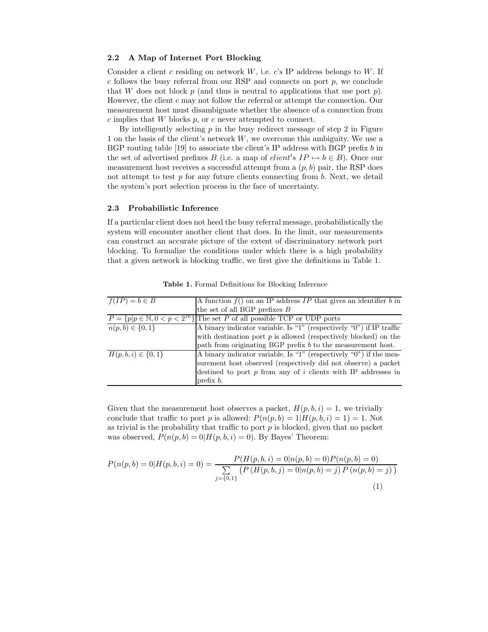#### 2.2 A Map of Internet Port Blocking

Consider a client c residing on network  $W$ , i.e.  $c$ 's IP address belongs to  $W$ . If  $c$  follows the busy referral from our RSP and connects on port  $p$ , we conclude that W does not block  $p$  (and thus is neutral to applications that use port  $p$ ). However, the client  $c$  may not follow the referral or attempt the connection. Our measurement host must disambiguate whether the absence of a connection from  $c$  implies that W blocks  $p$ , or  $c$  never attempted to connect.

By intelligently selecting  $p$  in the busy redirect message of step 2 in Figure 1 on the basis of the client's network  $W$ , we overcome this ambiguity. We use a BGP routing table [19] to associate the client's IP address with BGP prefix b in the set of advertised prefixes B (i.e. a map of *client's*  $IP \mapsto b \in B$ ). Once our measurement host receives a successful attempt from a  $(p, b)$  pair, the RSP does not attempt to test  $p$  for any future clients connecting from  $b$ . Next, we detail the system's port selection process in the face of uncertainty.

#### 2.3 Probabilistic Inference

If a particular client does not heed the busy referral message, probabilistically the system will encounter another client that does. In the limit, our measurements can construct an accurate picture of the extent of discriminatory network port blocking. To formalize the conditions under which there is a high probability that a given network is blocking traffic, we first give the definitions in Table 1.

| $f/IP$ ) = $b \in B$      | A function $f()$ on an IP address $IP$ that gives an identifier b in                                  |
|---------------------------|-------------------------------------------------------------------------------------------------------|
|                           | the set of all BGP prefixes $B$                                                                       |
|                           | $P = \{p p \in \mathbb{N}, 0 < p < 2^{16}\}\$ The set $\overline{P}$ of all possible TCP or UDP ports |
| $n(p, b) \in \{0, 1\}$    | A binary indicator variable. Is "1" (respectively "0") if IP traffic                                  |
|                           | with destination port $p$ is allowed (respectively blocked) on the                                    |
|                           | path from originating BGP prefix b to the measurement host.                                           |
| $H(p, b, i) \in \{0, 1\}$ | A binary indicator variable. Is "1" (respectively "0") if the mea-                                    |
|                           | surement host observed (respectively did not observe) a packet                                        |
|                           | destined to port $p$ from any of $i$ clients with IP addresses in                                     |
|                           | prefix $b$ .                                                                                          |

Table 1. Formal Definitions for Blocking Inference

Given that the measurement host observes a packet,  $H(p, b, i) = 1$ , we trivially conclude that traffic to port p is allowed:  $P(n(p, b) = 1|H(p, b, i) = 1) = 1$ . Not as trivial is the probability that traffic to port  $p$  is blocked, given that no packet was observed,  $P(n(p, b) = 0|H(p, b, i) = 0)$ . By Bayes' Theorem:

$$
P(n(p, b) = 0|H(p, b, i) = 0) = \frac{P(H(p, b, i) = 0|n(p, b) = 0)P(n(p, b) = 0)}{\sum_{j=\{0,1\}} \left( P(H(p, b, j) = 0|n(p, b) = j) P(n(p, b) = j) \right)}
$$
\n(1)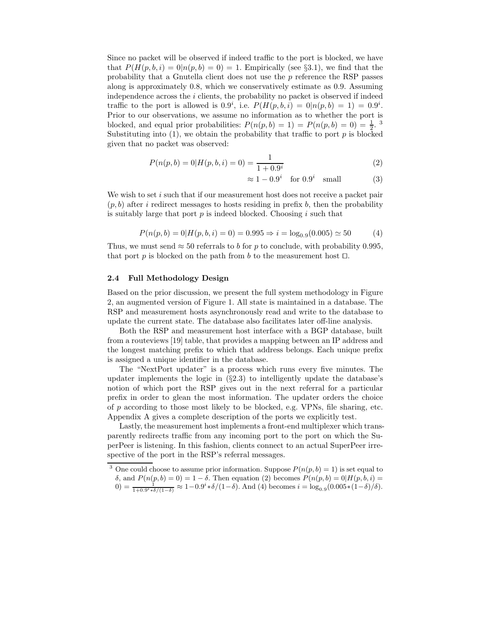Since no packet will be observed if indeed traffic to the port is blocked, we have that  $P(H(p, b, i) = 0|n(p, b) = 0) = 1$ . Empirically (see §3.1), we find that the probability that a Gnutella client does not use the p reference the RSP passes along is approximately 0.8, which we conservatively estimate as 0.9. Assuming independence across the i clients, the probability no packet is observed if indeed traffic to the port is allowed is  $0.9^i$ , i.e.  $P(H(p, b, i) = 0 | n(p, b) = 1) = 0.9^i$ . Prior to our observations, we assume no information as to whether the port is blocked, and equal prior probabilities:  $P(n(p, b) = 1) = P(n(p, b) = 0) = \frac{1}{2}$ . Substituting into  $(1)$ , we obtain the probability that traffic to port p is blocked given that no packet was observed:

$$
P(n(p, b) = 0|H(p, b, i) = 0) = \frac{1}{1 + 0.9^{i}}
$$
\n(2)

 $\approx 1 - 0.9^i$  for  $0.9^i$  small (3)

We wish to set i such that if our measurement host does not receive a packet pair  $(p, b)$  after i redirect messages to hosts residing in prefix b, then the probability is suitably large that port  $p$  is indeed blocked. Choosing  $i$  such that

$$
P(n(p, b) = 0|H(p, b, i) = 0) = 0.995 \Rightarrow i = \log_{0.9}(0.005) \approx 50
$$
 (4)

Thus, we must send  $\approx 50$  referrals to b for p to conclude, with probability 0.995, that port p is blocked on the path from b to the measurement host  $\Box$ .

#### 2.4 Full Methodology Design

Based on the prior discussion, we present the full system methodology in Figure 2, an augmented version of Figure 1. All state is maintained in a database. The RSP and measurement hosts asynchronously read and write to the database to update the current state. The database also facilitates later off-line analysis.

Both the RSP and measurement host interface with a BGP database, built from a routeviews [19] table, that provides a mapping between an IP address and the longest matching prefix to which that address belongs. Each unique prefix is assigned a unique identifier in the database.

The "NextPort updater" is a process which runs every five minutes. The updater implements the logic in  $(\S2.3)$  to intelligently update the database's notion of which port the RSP gives out in the next referral for a particular prefix in order to glean the most information. The updater orders the choice of  $p$  according to those most likely to be blocked, e.g. VPNs, file sharing, etc. Appendix A gives a complete description of the ports we explicitly test.

Lastly, the measurement host implements a front-end multiplexer which transparently redirects traffic from any incoming port to the port on which the SuperPeer is listening. In this fashion, clients connect to an actual SuperPeer irrespective of the port in the RSP's referral messages.

<sup>&</sup>lt;sup>3</sup> One could choose to assume prior information. Suppose  $P(n(p, b) = 1)$  is set equal to δ, and  $P(n(p, b) = 0) = 1 - δ$ . Then equation (2) becomes  $P(n(p, b) = 0|H(p, b, i)$ 

<sup>0) =</sup>  $\frac{1}{1+0.9i *δ/(1-δ)}$  ≈ 1-0.9<sup>*i*</sup> \*δ/(1-δ). And (4) becomes *i* = log<sub>0.9</sub>(0.005\*(1-δ)/δ).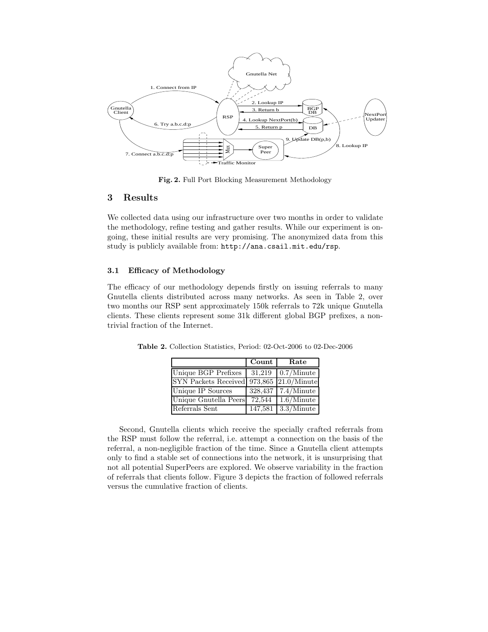

Fig. 2. Full Port Blocking Measurement Methodology

# 3 Results

We collected data using our infrastructure over two months in order to validate the methodology, refine testing and gather results. While our experiment is ongoing, these initial results are very promising. The anonymized data from this study is publicly available from: http://ana.csail.mit.edu/rsp.

#### 3.1 Efficacy of Methodology

The efficacy of our methodology depends firstly on issuing referrals to many Gnutella clients distributed across many networks. As seen in Table 2, over two months our RSP sent approximately 150k referrals to 72k unique Gnutella clients. These clients represent some 31k different global BGP prefixes, a nontrivial fraction of the Internet.

|                                          | Count   | Rate             |
|------------------------------------------|---------|------------------|
| Unique BGP Prefixes                      | 31.219  | $\sim 7$ /Minute |
| SYN Packets Received 973,865 21.0/Minute |         |                  |
| Unique IP Sources                        | 328.437 | $7.4$ /Minute    |
| Unique Gnutella Peers                    | 72.544  | $1.6$ /Minute    |
| Referrals Sent                           | 147,581 | $3.3$ /Minute    |

Table 2. Collection Statistics, Period: 02-Oct-2006 to 02-Dec-2006

Second, Gnutella clients which receive the specially crafted referrals from the RSP must follow the referral, i.e. attempt a connection on the basis of the referral, a non-negligible fraction of the time. Since a Gnutella client attempts only to find a stable set of connections into the network, it is unsurprising that not all potential SuperPeers are explored. We observe variability in the fraction of referrals that clients follow. Figure 3 depicts the fraction of followed referrals versus the cumulative fraction of clients.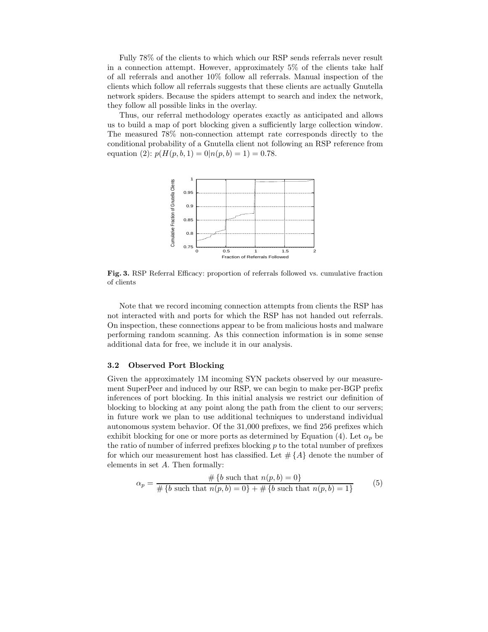Fully 78% of the clients to which which our RSP sends referrals never result in a connection attempt. However, approximately 5% of the clients take half of all referrals and another 10% follow all referrals. Manual inspection of the clients which follow all referrals suggests that these clients are actually Gnutella network spiders. Because the spiders attempt to search and index the network, they follow all possible links in the overlay.

Thus, our referral methodology operates exactly as anticipated and allows us to build a map of port blocking given a sufficiently large collection window. The measured 78% non-connection attempt rate corresponds directly to the conditional probability of a Gnutella client not following an RSP reference from equation (2):  $p(H(p, b, 1) = 0 | n(p, b) = 1) = 0.78$ .



Fig. 3. RSP Referral Efficacy: proportion of referrals followed vs. cumulative fraction of clients

Note that we record incoming connection attempts from clients the RSP has not interacted with and ports for which the RSP has not handed out referrals. On inspection, these connections appear to be from malicious hosts and malware performing random scanning. As this connection information is in some sense additional data for free, we include it in our analysis.

#### 3.2 Observed Port Blocking

Given the approximately 1M incoming SYN packets observed by our measurement SuperPeer and induced by our RSP, we can begin to make per-BGP prefix inferences of port blocking. In this initial analysis we restrict our definition of blocking to blocking at any point along the path from the client to our servers; in future work we plan to use additional techniques to understand individual autonomous system behavior. Of the 31,000 prefixes, we find 256 prefixes which exhibit blocking for one or more ports as determined by Equation (4). Let  $\alpha_p$  be the ratio of number of inferred prefixes blocking  $p$  to the total number of prefixes for which our measurement host has classified. Let  $\# \{A\}$  denote the number of elements in set A. Then formally:

$$
\alpha_p = \frac{\#\{b \text{ such that } n(p, b) = 0\}}{\#\{b \text{ such that } n(p, b) = 0\} + \#\{b \text{ such that } n(p, b) = 1\}}
$$
(5)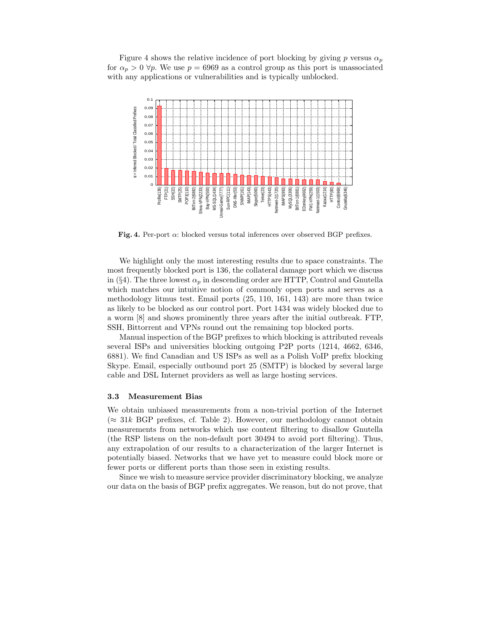Figure 4 shows the relative incidence of port blocking by giving p versus  $\alpha_p$ for  $\alpha_p > 0$   $\forall p$ . We use  $p = 6969$  as a control group as this port is unassociated with any applications or vulnerabilities and is typically unblocked.



Fig. 4. Per-port  $\alpha$ : blocked versus total inferences over observed BGP prefixes.

We highlight only the most interesting results due to space constraints. The most frequently blocked port is 136, the collateral damage port which we discuss in (§4). The three lowest  $\alpha_p$  in descending order are HTTP, Control and Gnutella which matches our intuitive notion of commonly open ports and serves as a methodology litmus test. Email ports (25, 110, 161, 143) are more than twice as likely to be blocked as our control port. Port 1434 was widely blocked due to a worm [8] and shows prominently three years after the initial outbreak. FTP, SSH, Bittorrent and VPNs round out the remaining top blocked ports.

Manual inspection of the BGP prefixes to which blocking is attributed reveals several ISPs and universities blocking outgoing P2P ports (1214, 4662, 6346, 6881). We find Canadian and US ISPs as well as a Polish VoIP prefix blocking Skype. Email, especially outbound port 25 (SMTP) is blocked by several large cable and DSL Internet providers as well as large hosting services.

#### 3.3 Measurement Bias

We obtain unbiased measurements from a non-trivial portion of the Internet  $(\approx 31k$  BGP prefixes, cf. Table 2). However, our methodology cannot obtain measurements from networks which use content filtering to disallow Gnutella (the RSP listens on the non-default port 30494 to avoid port filtering). Thus, any extrapolation of our results to a characterization of the larger Internet is potentially biased. Networks that we have yet to measure could block more or fewer ports or different ports than those seen in existing results.

Since we wish to measure service provider discriminatory blocking, we analyze our data on the basis of BGP prefix aggregates. We reason, but do not prove, that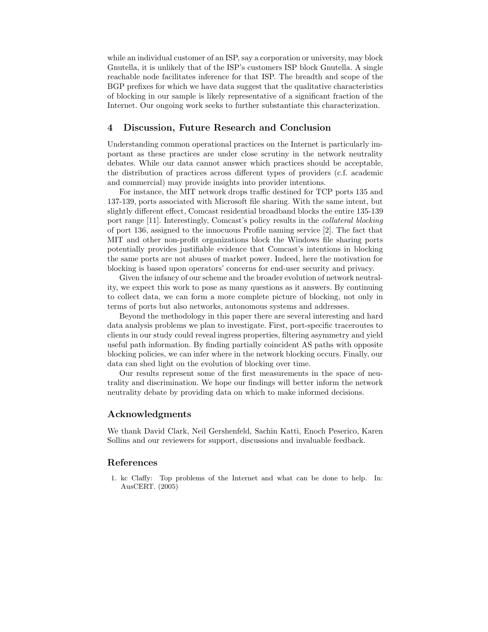while an individual customer of an ISP, say a corporation or university, may block Gnutella, it is unlikely that of the ISP's customers ISP block Gnutella. A single reachable node facilitates inference for that ISP. The breadth and scope of the BGP prefixes for which we have data suggest that the qualitative characteristics of blocking in our sample is likely representative of a significant fraction of the Internet. Our ongoing work seeks to further substantiate this characterization.

## 4 Discussion, Future Research and Conclusion

Understanding common operational practices on the Internet is particularly important as these practices are under close scrutiny in the network neutrality debates. While our data cannot answer which practices should be acceptable, the distribution of practices across different types of providers (c.f. academic and commercial) may provide insights into provider intentions.

For instance, the MIT network drops traffic destined for TCP ports 135 and 137-139, ports associated with Microsoft file sharing. With the same intent, but slightly different effect, Comcast residential broadband blocks the entire 135-139 port range [11]. Interestingly, Comcast's policy results in the collateral blocking of port 136, assigned to the innocuous Profile naming service [2]. The fact that MIT and other non-profit organizations block the Windows file sharing ports potentially provides justifiable evidence that Comcast's intentions in blocking the same ports are not abuses of market power. Indeed, here the motivation for blocking is based upon operators' concerns for end-user security and privacy.

Given the infancy of our scheme and the broader evolution of network neutrality, we expect this work to pose as many questions as it answers. By continuing to collect data, we can form a more complete picture of blocking, not only in terms of ports but also networks, autonomous systems and addresses.

Beyond the methodology in this paper there are several interesting and hard data analysis problems we plan to investigate. First, port-specific traceroutes to clients in our study could reveal ingress properties, filtering asymmetry and yield useful path information. By finding partially coincident AS paths with opposite blocking policies, we can infer where in the network blocking occurs. Finally, our data can shed light on the evolution of blocking over time.

Our results represent some of the first measurements in the space of neutrality and discrimination. We hope our findings will better inform the network neutrality debate by providing data on which to make informed decisions.

## Acknowledgments

We thank David Clark, Neil Gershenfeld, Sachin Katti, Enoch Peserico, Karen Sollins and our reviewers for support, discussions and invaluable feedback.

### References

1. kc Claffy: Top problems of the Internet and what can be done to help. In: AusCERT. (2005)